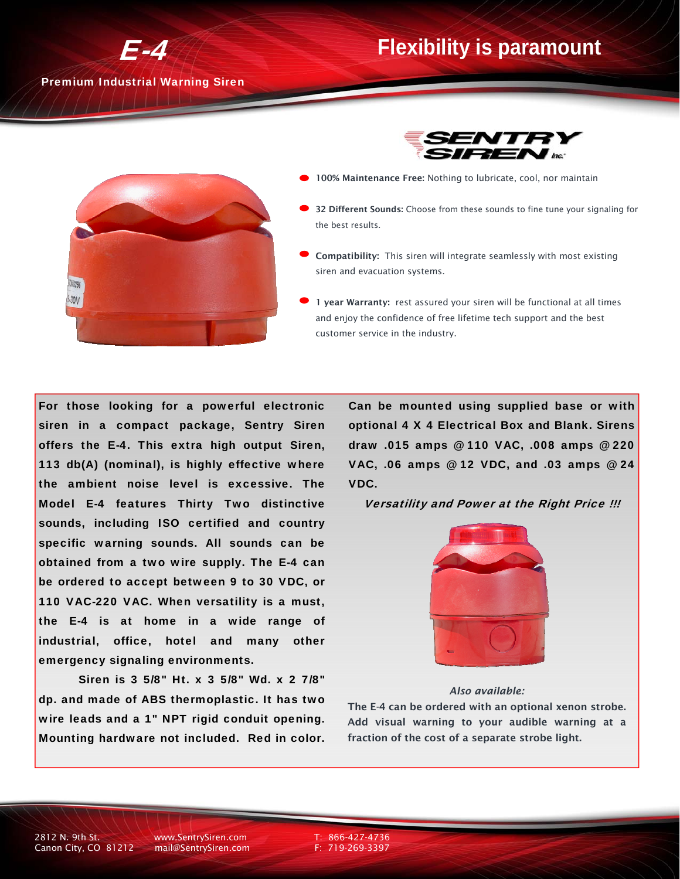### **Flexibility is paramount**

Premium Industrial Warning Siren

E-4





- 100% Maintenance Free: Nothing to lubricate, cool, nor maintain
- 32 Different Sounds: Choose from these sounds to fine tune your signaling for the best results.
- Compatibility: This siren will integrate seamlessly with most existing siren and evacuation systems.
- 1 year Warranty: rest assured your siren will be functional at all times and enjoy the confidence of free lifetime tech support and the best customer service in the industry.

For those looking for a powerful electronic siren in a compact package, Sentry Siren offers the E-4. This extra high output Siren, 113 db(A) (nominal), is highly effective where the ambient noise level is excessive. The Model E-4 features Thirty Two distinctive sounds, including ISO certified and country specific warning sounds. All sounds can be obtained from a two wire supply. The E-4 can be ordered to accept between 9 to 30 VDC, or 110 VAC-220 VAC. When versatility is a must, the E-4 is at home in a wide range of industrial, office, hotel and many other emergency signaling environments.

 Siren is 3 5/8" Ht. x 3 5/8" Wd. x 2 7/8" dp. and made of ABS thermoplastic. It has two wire leads and a 1" NPT rigid conduit opening. Mounting hardware not included. Red in color. Can be mounted using supplied base or with optional 4 X 4 Electrical Box and Blank. Sirens draw .015 amps @ 110 VAC, .008 amps @ 220 VAC, .06 amps @ 12 VDC, and .03 amps @ 24 VDC.

Versatility and Power at the Right Price !!!



#### *Also available:*

The E-4 can be ordered with an optional xenon strobe. Add visual warning to your audible warning at a fraction of the cost of a separate strobe light.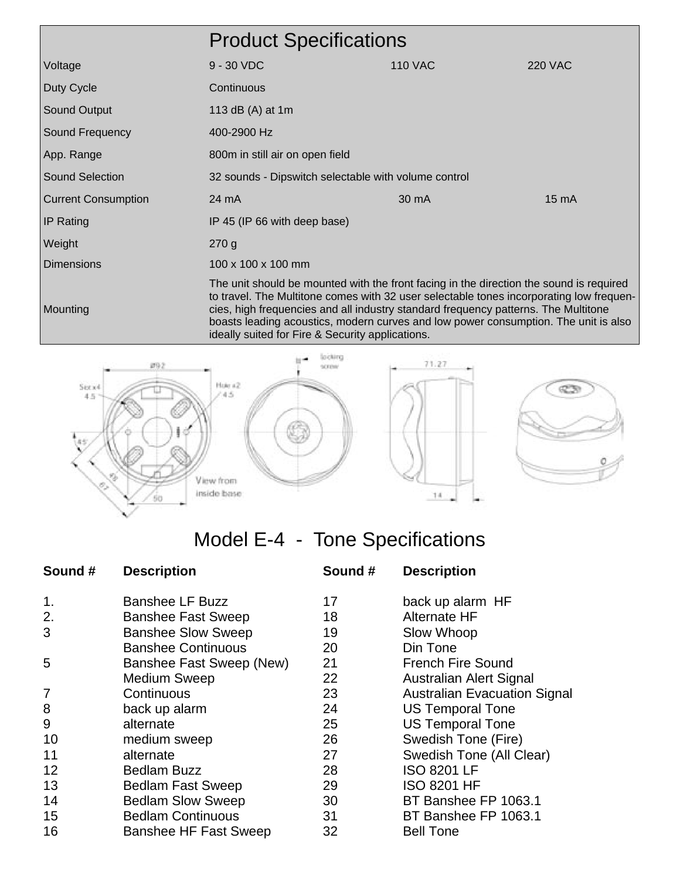|                            | <b>Product Specifications</b>                                                                                                                                                                                                                                                                                                                                                                                       |                |                 |
|----------------------------|---------------------------------------------------------------------------------------------------------------------------------------------------------------------------------------------------------------------------------------------------------------------------------------------------------------------------------------------------------------------------------------------------------------------|----------------|-----------------|
| Voltage                    | $9 - 30$ VDC                                                                                                                                                                                                                                                                                                                                                                                                        | <b>110 VAC</b> | <b>220 VAC</b>  |
| Duty Cycle                 | Continuous                                                                                                                                                                                                                                                                                                                                                                                                          |                |                 |
| Sound Output               | 113 dB (A) at 1m                                                                                                                                                                                                                                                                                                                                                                                                    |                |                 |
| Sound Frequency            | 400-2900 Hz                                                                                                                                                                                                                                                                                                                                                                                                         |                |                 |
| App. Range                 | 800m in still air on open field                                                                                                                                                                                                                                                                                                                                                                                     |                |                 |
| <b>Sound Selection</b>     | 32 sounds - Dipswitch selectable with volume control                                                                                                                                                                                                                                                                                                                                                                |                |                 |
| <b>Current Consumption</b> | 24 mA                                                                                                                                                                                                                                                                                                                                                                                                               | 30 mA          | $15 \text{ mA}$ |
| <b>IP Rating</b>           | IP 45 (IP 66 with deep base)                                                                                                                                                                                                                                                                                                                                                                                        |                |                 |
| Weight                     | 270g                                                                                                                                                                                                                                                                                                                                                                                                                |                |                 |
| <b>Dimensions</b>          | $100 \times 100 \times 100$ mm                                                                                                                                                                                                                                                                                                                                                                                      |                |                 |
| Mounting                   | The unit should be mounted with the front facing in the direction the sound is required<br>to travel. The Multitone comes with 32 user selectable tones incorporating low frequen-<br>cies, high frequencies and all industry standard frequency patterns. The Multitone<br>boasts leading acoustics, modern curves and low power consumption. The unit is also<br>ideally suited for Fire & Security applications. |                |                 |





# Model E-4 - Tone Specifications

| Sound # | <b>Description</b>           | Sound # | <b>Description</b>                  |
|---------|------------------------------|---------|-------------------------------------|
| 1.      | <b>Banshee LF Buzz</b>       | 17      | back up alarm HF                    |
| 2.      | <b>Banshee Fast Sweep</b>    | 18      | Alternate HF                        |
| 3       | <b>Banshee Slow Sweep</b>    | 19      | Slow Whoop                          |
|         | <b>Banshee Continuous</b>    | 20      | Din Tone                            |
| 5       | Banshee Fast Sweep (New)     | 21      | <b>French Fire Sound</b>            |
|         | <b>Medium Sweep</b>          | 22      | Australian Alert Signal             |
| 7       | Continuous                   | 23      | <b>Australian Evacuation Signal</b> |
| 8       | back up alarm                | 24      | <b>US Temporal Tone</b>             |
| 9       | alternate                    | 25      | <b>US Temporal Tone</b>             |
| 10      | medium sweep                 | 26      | Swedish Tone (Fire)                 |
| 11      | alternate                    | 27      | Swedish Tone (All Clear)            |
| 12      | <b>Bedlam Buzz</b>           | 28      | <b>ISO 8201 LF</b>                  |
| 13      | <b>Bedlam Fast Sweep</b>     | 29      | <b>ISO 8201 HF</b>                  |
| 14      | <b>Bedlam Slow Sweep</b>     | 30      | BT Banshee FP 1063.1                |
| 15      | <b>Bedlam Continuous</b>     | 31      | BT Banshee FP 1063.1                |
| 16      | <b>Banshee HF Fast Sweep</b> | 32      | <b>Bell Tone</b>                    |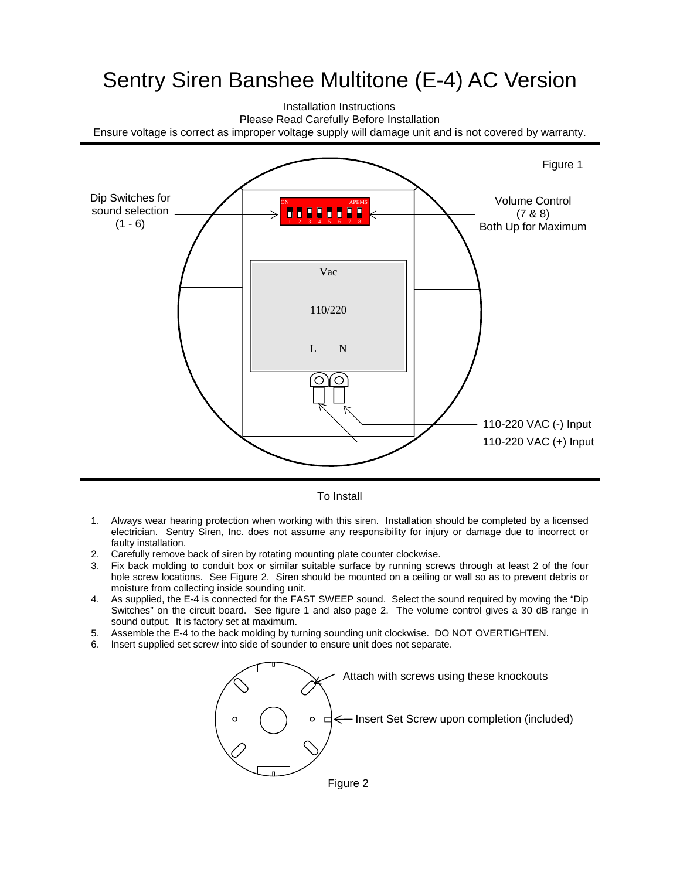## Sentry Siren Banshee Multitone (E-4) AC Version

Installation Instructions Please Read Carefully Before Installation Ensure voltage is correct as improper voltage supply will damage unit and is not covered by warranty.



#### To Install

- 1. Always wear hearing protection when working with this siren. Installation should be completed by a licensed electrician. Sentry Siren, Inc. does not assume any responsibility for injury or damage due to incorrect or faulty installation.
- 2. Carefully remove back of siren by rotating mounting plate counter clockwise.
- 3. Fix back molding to conduit box or similar suitable surface by running screws through at least 2 of the four hole screw locations. See Figure 2. Siren should be mounted on a ceiling or wall so as to prevent debris or moisture from collecting inside sounding unit.
- 4. As supplied, the E-4 is connected for the FAST SWEEP sound. Select the sound required by moving the "Dip Switches" on the circuit board. See figure 1 and also page 2. The volume control gives a 30 dB range in sound output. It is factory set at maximum.
- 5. Assemble the E-4 to the back molding by turning sounding unit clockwise. DO NOT OVERTIGHTEN.
- 6. Insert supplied set screw into side of sounder to ensure unit does not separate.

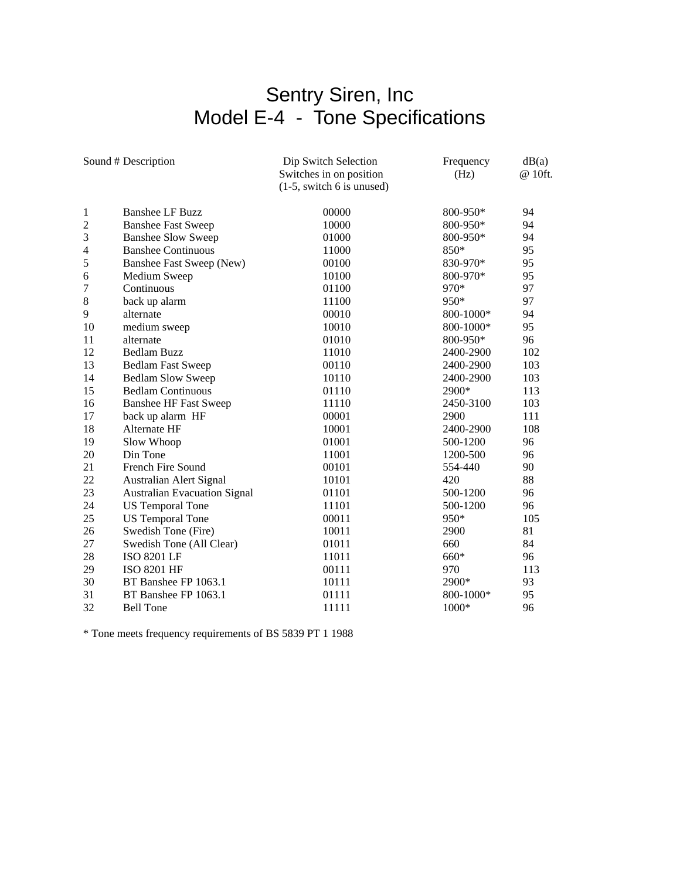### Sentry Siren, Inc Model E-4 - Tone Specifications

| Sound # Description |                                     | Dip Switch Selection        | Frequency | dB(a)   |
|---------------------|-------------------------------------|-----------------------------|-----------|---------|
|                     |                                     | Switches in on position     | (Hz)      | @ 10ft. |
|                     |                                     | $(1-5,$ switch 6 is unused) |           |         |
| 1                   | <b>Banshee LF Buzz</b>              | 00000                       | 800-950*  | 94      |
| $\overline{c}$      | <b>Banshee Fast Sweep</b>           | 10000                       | 800-950*  | 94      |
| 3                   | <b>Banshee Slow Sweep</b>           | 01000                       | 800-950*  | 94      |
| $\overline{4}$      | <b>Banshee Continuous</b>           | 11000                       | 850*      | 95      |
| 5                   | Banshee Fast Sweep (New)            | 00100                       | 830-970*  | 95      |
| 6                   | Medium Sweep                        | 10100                       | 800-970*  | 95      |
| 7                   | Continuous                          | 01100                       | 970*      | 97      |
| 8                   | back up alarm                       | 11100                       | 950*      | 97      |
| 9                   | alternate                           | 00010                       | 800-1000* | 94      |
| 10                  | medium sweep                        | 10010                       | 800-1000* | 95      |
| 11                  | alternate                           | 01010                       | 800-950*  | 96      |
| 12                  | <b>Bedlam Buzz</b>                  | 11010                       | 2400-2900 | 102     |
| 13                  | <b>Bedlam Fast Sweep</b>            | 00110                       | 2400-2900 | 103     |
| 14                  | <b>Bedlam Slow Sweep</b>            | 10110                       | 2400-2900 | 103     |
| 15                  | <b>Bedlam Continuous</b>            | 01110                       | 2900*     | 113     |
| 16                  | <b>Banshee HF Fast Sweep</b>        | 11110                       | 2450-3100 | 103     |
| 17                  | back up alarm HF                    | 00001                       | 2900      | 111     |
| 18                  | Alternate HF                        | 10001                       | 2400-2900 | 108     |
| 19                  | Slow Whoop                          | 01001                       | 500-1200  | 96      |
| 20                  | Din Tone                            | 11001                       | 1200-500  | 96      |
| 21                  | French Fire Sound                   | 00101                       | 554-440   | 90      |
| 22                  | Australian Alert Signal             | 10101                       | 420       | 88      |
| 23                  | <b>Australian Evacuation Signal</b> | 01101                       | 500-1200  | 96      |
| 24                  | <b>US Temporal Tone</b>             | 11101                       | 500-1200  | 96      |
| 25                  | <b>US Temporal Tone</b>             | 00011                       | 950*      | 105     |
| 26                  | Swedish Tone (Fire)                 | 10011                       | 2900      | 81      |
| 27                  | Swedish Tone (All Clear)            | 01011                       | 660       | 84      |
| 28                  | ISO 8201 LF                         | 11011                       | 660*      | 96      |
| 29                  | ISO 8201 HF                         | 00111                       | 970       | 113     |
| 30                  | BT Banshee FP 1063.1                | 10111                       | 2900*     | 93      |
| 31                  | BT Banshee FP 1063.1                | 01111                       | 800-1000* | 95      |
| 32                  | <b>Bell Tone</b>                    | 11111                       | $1000*$   | 96      |

\* Tone meets frequency requirements of BS 5839 PT 1 1988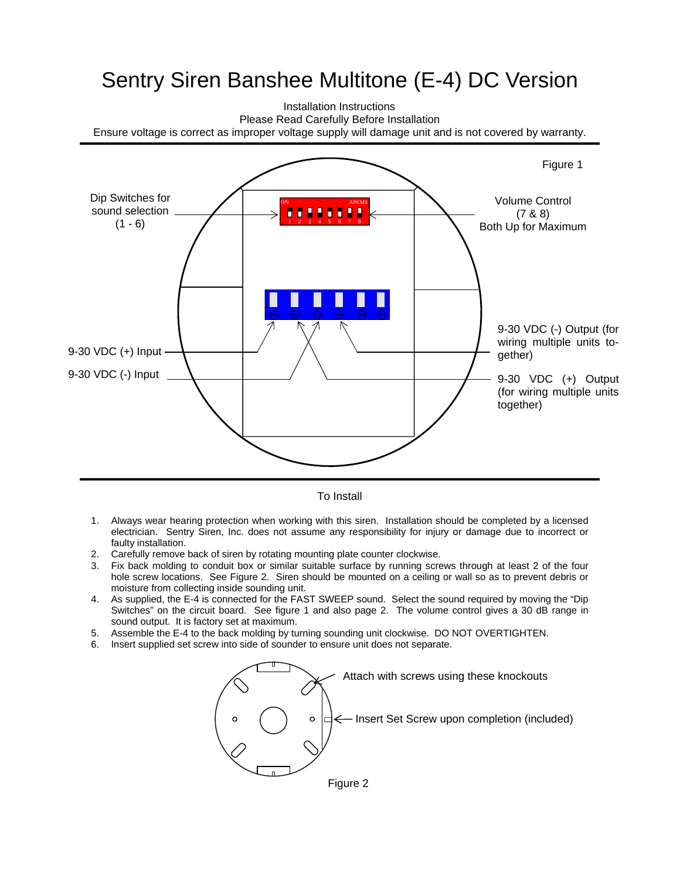## Sentry Siren Banshee Multitone (E-4) DC Version

Installation Instructions Please Read Carefully Before Installation Ensure voltage is correct as improper voltage supply will damage unit and is not covered by warranty.



To Install

- 1. Always wear hearing protection when working with this siren. Installation should be completed by a licensed electrician. Sentry Siren, Inc. does not assume any responsibility for injury or damage due to incorrect or faulty installation.
- 2. Carefully remove back of siren by rotating mounting plate counter clockwise.
- 3. Fix back molding to conduit box or similar suitable surface by running screws through at least 2 of the four hole screw locations. See Figure 2. Siren should be mounted on a ceiling or wall so as to prevent debris or moisture from collecting inside sounding unit.
- 4. As supplied, the E-4 is connected for the FAST SWEEP sound. Select the sound required by moving the "Dip Switches" on the circuit board. See figure 1 and also page 2. The volume control gives a 30 dB range in sound output. It is factory set at maximum.
- 5. Assemble the E-4 to the back molding by turning sounding unit clockwise. DO NOT OVERTIGHTEN.
- 6. Insert supplied set screw into side of sounder to ensure unit does not separate.